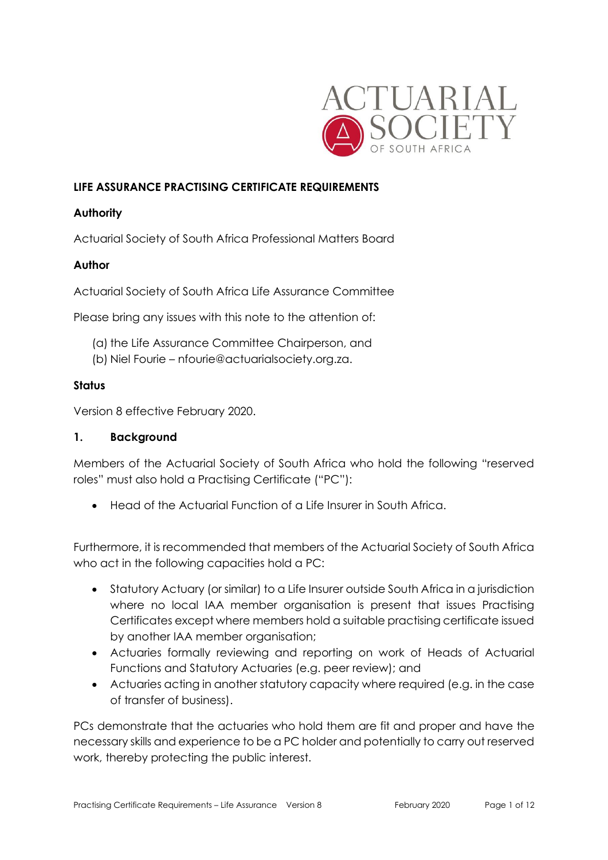

### **LIFE ASSURANCE PRACTISING CERTIFICATE REQUIREMENTS**

### **Authority**

Actuarial Society of South Africa Professional Matters Board

#### **Author**

Actuarial Society of South Africa Life Assurance Committee

Please bring any issues with this note to the attention of:

- (a) the Life Assurance Committee Chairperson, and
- (b) Niel Fourie nfourie@actuarialsociety.org.za.

#### **Status**

Version 8 effective February 2020.

#### **1. Background**

Members of the Actuarial Society of South Africa who hold the following "reserved roles" must also hold a Practising Certificate ("PC"):

• Head of the Actuarial Function of a Life Insurer in South Africa.

Furthermore, it is recommended that members of the Actuarial Society of South Africa who act in the following capacities hold a PC:

- Statutory Actuary (or similar) to a Life Insurer outside South Africa in a jurisdiction where no local IAA member organisation is present that issues Practising Certificates except where members hold a suitable practising certificate issued by another IAA member organisation;
- Actuaries formally reviewing and reporting on work of Heads of Actuarial Functions and Statutory Actuaries (e.g. peer review); and
- Actuaries acting in another statutory capacity where required (e.g. in the case of transfer of business).

PCs demonstrate that the actuaries who hold them are fit and proper and have the necessary skills and experience to be a PC holder and potentially to carry out reserved work, thereby protecting the public interest.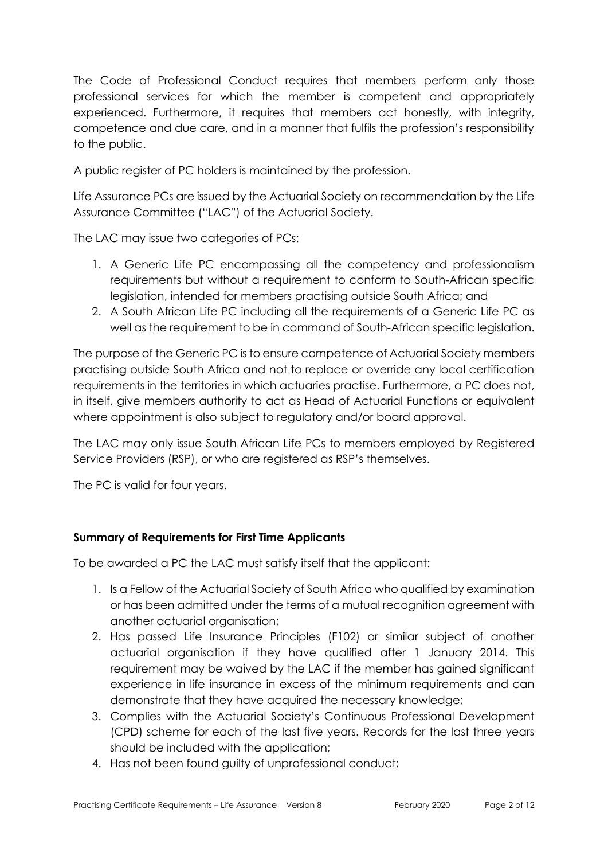The Code of Professional Conduct requires that members perform only those professional services for which the member is competent and appropriately experienced. Furthermore, it requires that members act honestly, with integrity, competence and due care, and in a manner that fulfils the profession's responsibility to the public.

A public register of PC holders is maintained by the profession.

Life Assurance PCs are issued by the Actuarial Society on recommendation by the Life Assurance Committee ("LAC") of the Actuarial Society.

The LAC may issue two categories of PCs:

- 1. A Generic Life PC encompassing all the competency and professionalism requirements but without a requirement to conform to South-African specific legislation, intended for members practising outside South Africa; and
- 2. A South African Life PC including all the requirements of a Generic Life PC as well as the requirement to be in command of South-African specific legislation.

The purpose of the Generic PC is to ensure competence of Actuarial Society members practising outside South Africa and not to replace or override any local certification requirements in the territories in which actuaries practise. Furthermore, a PC does not, in itself, give members authority to act as Head of Actuarial Functions or equivalent where appointment is also subject to regulatory and/or board approval.

The LAC may only issue South African Life PCs to members employed by Registered Service Providers (RSP), or who are registered as RSP's themselves.

The PC is valid for four years.

# **Summary of Requirements for First Time Applicants**

To be awarded a PC the LAC must satisfy itself that the applicant:

- 1. Is a Fellow of the Actuarial Society of South Africa who qualified by examination or has been admitted under the terms of a mutual recognition agreement with another actuarial organisation;
- 2. Has passed Life Insurance Principles (F102) or similar subject of another actuarial organisation if they have qualified after 1 January 2014. This requirement may be waived by the LAC if the member has gained significant experience in life insurance in excess of the minimum requirements and can demonstrate that they have acquired the necessary knowledge;
- 3. Complies with the Actuarial Society's Continuous Professional Development (CPD) scheme for each of the last five years. Records for the last three years should be included with the application;
- 4. Has not been found guilty of unprofessional conduct;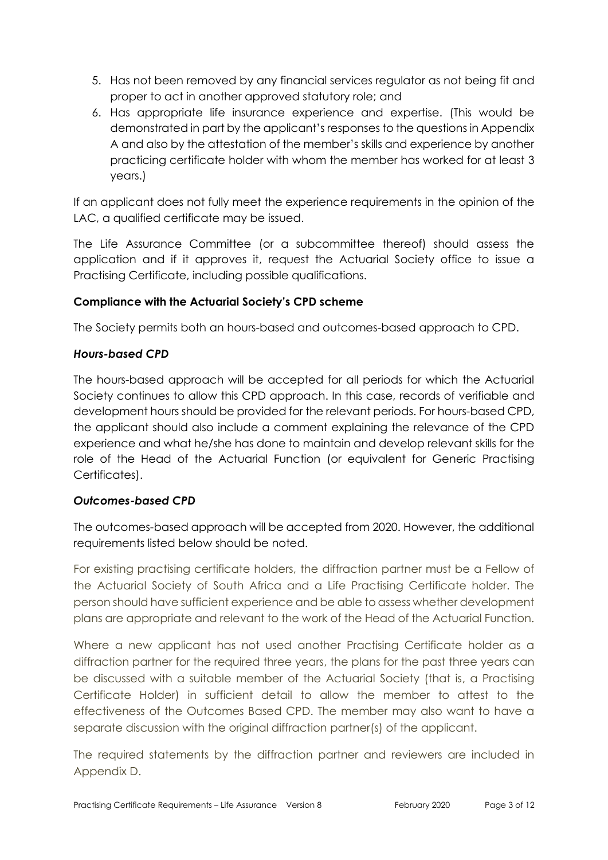- 5. Has not been removed by any financial services regulator as not being fit and proper to act in another approved statutory role; and
- 6. Has appropriate life insurance experience and expertise. (This would be demonstrated in part by the applicant's responses to the questions in Appendix A and also by the attestation of the member's skills and experience by another practicing certificate holder with whom the member has worked for at least 3 years.)

If an applicant does not fully meet the experience requirements in the opinion of the LAC, a qualified certificate may be issued.

The Life Assurance Committee (or a subcommittee thereof) should assess the application and if it approves it, request the Actuarial Society office to issue a Practising Certificate, including possible qualifications.

# **Compliance with the Actuarial Society's CPD scheme**

The Society permits both an hours-based and outcomes-based approach to CPD.

# *Hours-based CPD*

The hours-based approach will be accepted for all periods for which the Actuarial Society continues to allow this CPD approach. In this case, records of verifiable and development hours should be provided for the relevant periods. For hours-based CPD, the applicant should also include a comment explaining the relevance of the CPD experience and what he/she has done to maintain and develop relevant skills for the role of the Head of the Actuarial Function (or equivalent for Generic Practising Certificates).

# *Outcomes-based CPD*

The outcomes-based approach will be accepted from 2020. However, the additional requirements listed below should be noted.

For existing practising certificate holders, the diffraction partner must be a Fellow of the Actuarial Society of South Africa and a Life Practising Certificate holder. The person should have sufficient experience and be able to assess whether development plans are appropriate and relevant to the work of the Head of the Actuarial Function.

Where a new applicant has not used another Practising Certificate holder as a diffraction partner for the required three years, the plans for the past three years can be discussed with a suitable member of the Actuarial Society (that is, a Practising Certificate Holder) in sufficient detail to allow the member to attest to the effectiveness of the Outcomes Based CPD. The member may also want to have a separate discussion with the original diffraction partner(s) of the applicant.

The required statements by the diffraction partner and reviewers are included in Appendix D.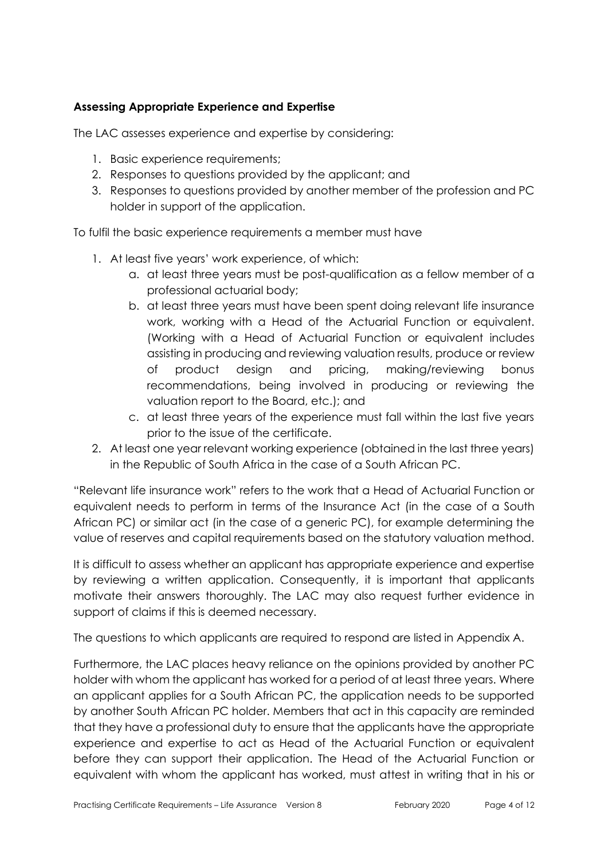## **Assessing Appropriate Experience and Expertise**

The LAC assesses experience and expertise by considering:

- 1. Basic experience requirements;
- 2. Responses to questions provided by the applicant; and
- 3. Responses to questions provided by another member of the profession and PC holder in support of the application.

To fulfil the basic experience requirements a member must have

- 1. At least five years' work experience, of which:
	- a. at least three years must be post-qualification as a fellow member of a professional actuarial body;
	- b. at least three years must have been spent doing relevant life insurance work, working with a Head of the Actuarial Function or equivalent. (Working with a Head of Actuarial Function or equivalent includes assisting in producing and reviewing valuation results, produce or review of product design and pricing, making/reviewing bonus recommendations, being involved in producing or reviewing the valuation report to the Board, etc.); and
	- c. at least three years of the experience must fall within the last five years prior to the issue of the certificate.
- 2. At least one year relevant working experience (obtained in the last three years) in the Republic of South Africa in the case of a South African PC.

"Relevant life insurance work" refers to the work that a Head of Actuarial Function or equivalent needs to perform in terms of the Insurance Act (in the case of a South African PC) or similar act (in the case of a generic PC), for example determining the value of reserves and capital requirements based on the statutory valuation method.

It is difficult to assess whether an applicant has appropriate experience and expertise by reviewing a written application. Consequently, it is important that applicants motivate their answers thoroughly. The LAC may also request further evidence in support of claims if this is deemed necessary.

The questions to which applicants are required to respond are listed in Appendix A.

Furthermore, the LAC places heavy reliance on the opinions provided by another PC holder with whom the applicant has worked for a period of at least three years. Where an applicant applies for a South African PC, the application needs to be supported by another South African PC holder. Members that act in this capacity are reminded that they have a professional duty to ensure that the applicants have the appropriate experience and expertise to act as Head of the Actuarial Function or equivalent before they can support their application. The Head of the Actuarial Function or equivalent with whom the applicant has worked, must attest in writing that in his or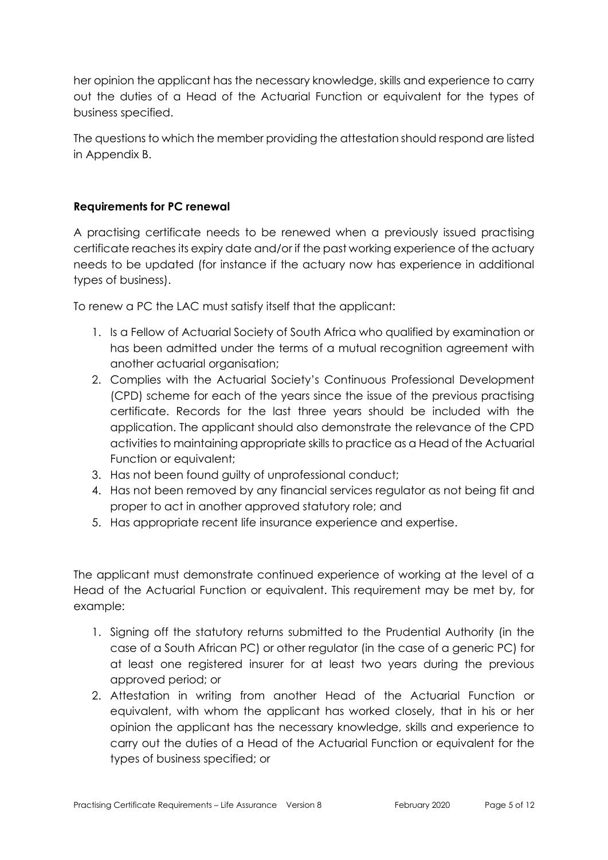her opinion the applicant has the necessary knowledge, skills and experience to carry out the duties of a Head of the Actuarial Function or equivalent for the types of business specified.

The questions to which the member providing the attestation should respond are listed in Appendix B.

## **Requirements for PC renewal**

A practising certificate needs to be renewed when a previously issued practising certificate reaches its expiry date and/or if the past working experience of the actuary needs to be updated (for instance if the actuary now has experience in additional types of business).

To renew a PC the LAC must satisfy itself that the applicant:

- 1. Is a Fellow of Actuarial Society of South Africa who qualified by examination or has been admitted under the terms of a mutual recognition agreement with another actuarial organisation;
- 2. Complies with the Actuarial Society's Continuous Professional Development (CPD) scheme for each of the years since the issue of the previous practising certificate. Records for the last three years should be included with the application. The applicant should also demonstrate the relevance of the CPD activities to maintaining appropriate skills to practice as a Head of the Actuarial Function or equivalent;
- 3. Has not been found guilty of unprofessional conduct;
- 4. Has not been removed by any financial services regulator as not being fit and proper to act in another approved statutory role; and
- 5. Has appropriate recent life insurance experience and expertise.

The applicant must demonstrate continued experience of working at the level of a Head of the Actuarial Function or equivalent. This requirement may be met by, for example:

- 1. Signing off the statutory returns submitted to the Prudential Authority (in the case of a South African PC) or other regulator (in the case of a generic PC) for at least one registered insurer for at least two years during the previous approved period; or
- 2. Attestation in writing from another Head of the Actuarial Function or equivalent, with whom the applicant has worked closely, that in his or her opinion the applicant has the necessary knowledge, skills and experience to carry out the duties of a Head of the Actuarial Function or equivalent for the types of business specified; or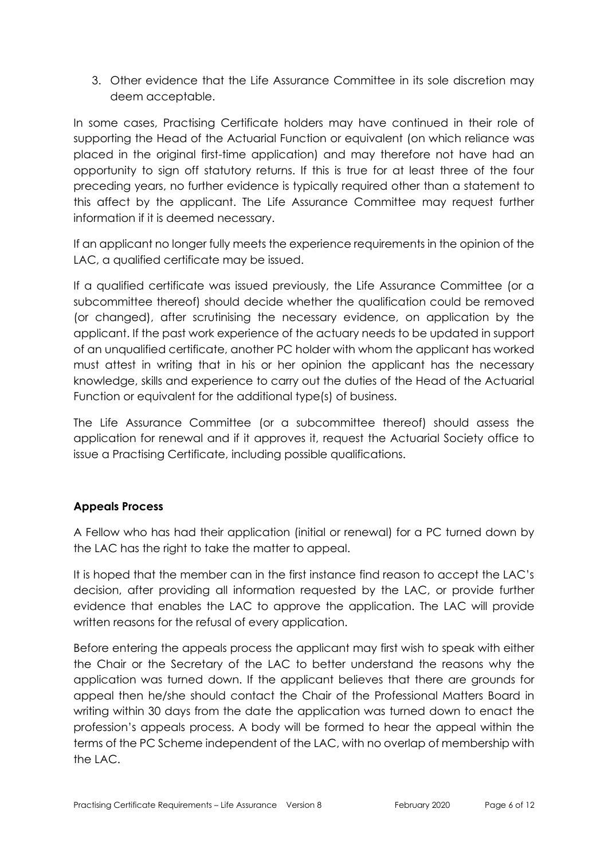3. Other evidence that the Life Assurance Committee in its sole discretion may deem acceptable.

In some cases, Practising Certificate holders may have continued in their role of supporting the Head of the Actuarial Function or equivalent (on which reliance was placed in the original first-time application) and may therefore not have had an opportunity to sign off statutory returns. If this is true for at least three of the four preceding years, no further evidence is typically required other than a statement to this affect by the applicant. The Life Assurance Committee may request further information if it is deemed necessary.

If an applicant no longer fully meets the experience requirements in the opinion of the LAC, a qualified certificate may be issued.

If a qualified certificate was issued previously, the Life Assurance Committee (or a subcommittee thereof) should decide whether the qualification could be removed (or changed), after scrutinising the necessary evidence, on application by the applicant. If the past work experience of the actuary needs to be updated in support of an unqualified certificate, another PC holder with whom the applicant has worked must attest in writing that in his or her opinion the applicant has the necessary knowledge, skills and experience to carry out the duties of the Head of the Actuarial Function or equivalent for the additional type(s) of business.

The Life Assurance Committee (or a subcommittee thereof) should assess the application for renewal and if it approves it, request the Actuarial Society office to issue a Practising Certificate, including possible qualifications.

# **Appeals Process**

A Fellow who has had their application (initial or renewal) for a PC turned down by the LAC has the right to take the matter to appeal.

It is hoped that the member can in the first instance find reason to accept the LAC's decision, after providing all information requested by the LAC, or provide further evidence that enables the LAC to approve the application. The LAC will provide written reasons for the refusal of every application.

Before entering the appeals process the applicant may first wish to speak with either the Chair or the Secretary of the LAC to better understand the reasons why the application was turned down. If the applicant believes that there are grounds for appeal then he/she should contact the Chair of the Professional Matters Board in writing within 30 days from the date the application was turned down to enact the profession's appeals process. A body will be formed to hear the appeal within the terms of the PC Scheme independent of the LAC, with no overlap of membership with the LAC.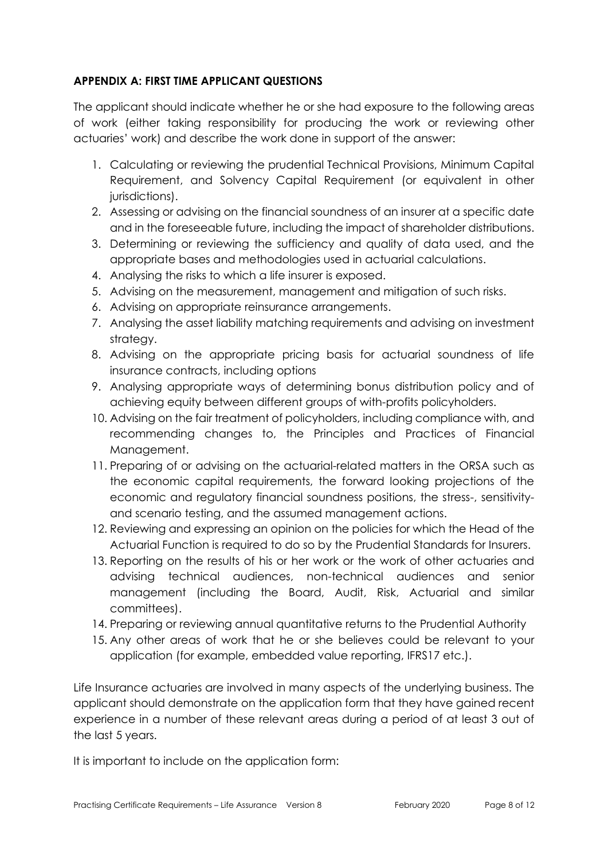## **APPENDIX A: FIRST TIME APPLICANT QUESTIONS**

The applicant should indicate whether he or she had exposure to the following areas of work (either taking responsibility for producing the work or reviewing other actuaries' work) and describe the work done in support of the answer:

- 1. Calculating or reviewing the prudential Technical Provisions, Minimum Capital Requirement, and Solvency Capital Requirement (or equivalent in other jurisdictions).
- 2. Assessing or advising on the financial soundness of an insurer at a specific date and in the foreseeable future, including the impact of shareholder distributions.
- 3. Determining or reviewing the sufficiency and quality of data used, and the appropriate bases and methodologies used in actuarial calculations.
- 4. Analysing the risks to which a life insurer is exposed.
- 5. Advising on the measurement, management and mitigation of such risks.
- 6. Advising on appropriate reinsurance arrangements.
- 7. Analysing the asset liability matching requirements and advising on investment strategy.
- 8. Advising on the appropriate pricing basis for actuarial soundness of life insurance contracts, including options
- 9. Analysing appropriate ways of determining bonus distribution policy and of achieving equity between different groups of with-profits policyholders.
- 10. Advising on the fair treatment of policyholders, including compliance with, and recommending changes to, the Principles and Practices of Financial Management.
- 11. Preparing of or advising on the actuarial-related matters in the ORSA such as the economic capital requirements, the forward looking projections of the economic and regulatory financial soundness positions, the stress-, sensitivityand scenario testing, and the assumed management actions.
- 12. Reviewing and expressing an opinion on the policies for which the Head of the Actuarial Function is required to do so by the Prudential Standards for Insurers.
- 13. Reporting on the results of his or her work or the work of other actuaries and advising technical audiences, non-technical audiences and senior management (including the Board, Audit, Risk, Actuarial and similar committees).
- 14. Preparing or reviewing annual quantitative returns to the Prudential Authority
- 15. Any other areas of work that he or she believes could be relevant to your application (for example, embedded value reporting, IFRS17 etc.).

Life Insurance actuaries are involved in many aspects of the underlying business. The applicant should demonstrate on the application form that they have gained recent experience in a number of these relevant areas during a period of at least 3 out of the last 5 years.

It is important to include on the application form: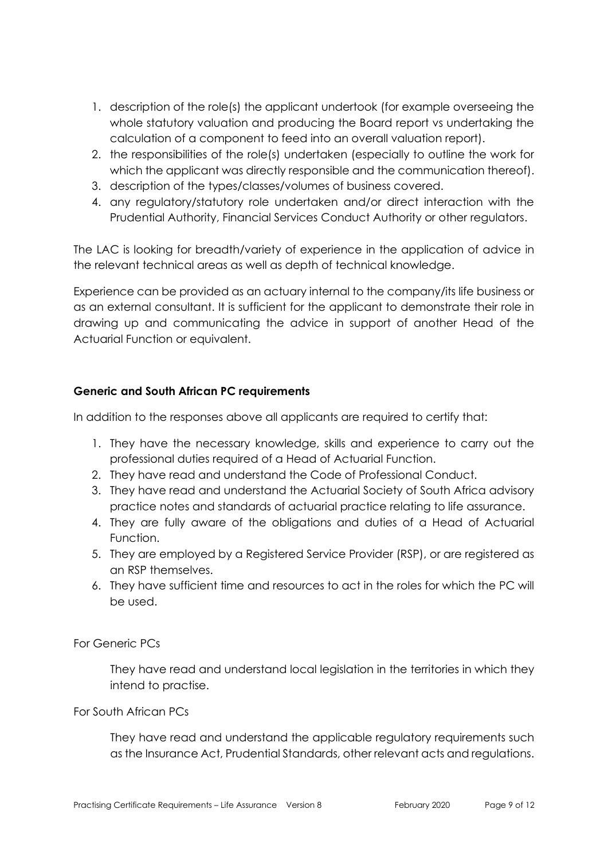- 1. description of the role(s) the applicant undertook (for example overseeing the whole statutory valuation and producing the Board report vs undertaking the calculation of a component to feed into an overall valuation report).
- 2. the responsibilities of the role(s) undertaken (especially to outline the work for which the applicant was directly responsible and the communication thereof).
- 3. description of the types/classes/volumes of business covered.
- 4. any regulatory/statutory role undertaken and/or direct interaction with the Prudential Authority, Financial Services Conduct Authority or other regulators.

The LAC is looking for breadth/variety of experience in the application of advice in the relevant technical areas as well as depth of technical knowledge.

Experience can be provided as an actuary internal to the company/its life business or as an external consultant. It is sufficient for the applicant to demonstrate their role in drawing up and communicating the advice in support of another Head of the Actuarial Function or equivalent.

# **Generic and South African PC requirements**

In addition to the responses above all applicants are required to certify that:

- 1. They have the necessary knowledge, skills and experience to carry out the professional duties required of a Head of Actuarial Function.
- 2. They have read and understand the Code of Professional Conduct.
- 3. They have read and understand the Actuarial Society of South Africa advisory practice notes and standards of actuarial practice relating to life assurance.
- 4. They are fully aware of the obligations and duties of a Head of Actuarial Function.
- 5. They are employed by a Registered Service Provider (RSP), or are registered as an RSP themselves.
- 6. They have sufficient time and resources to act in the roles for which the PC will be used.

# For Generic PCs

They have read and understand local legislation in the territories in which they intend to practise.

#### For South African PCs

They have read and understand the applicable regulatory requirements such as the Insurance Act, Prudential Standards, other relevant acts and regulations.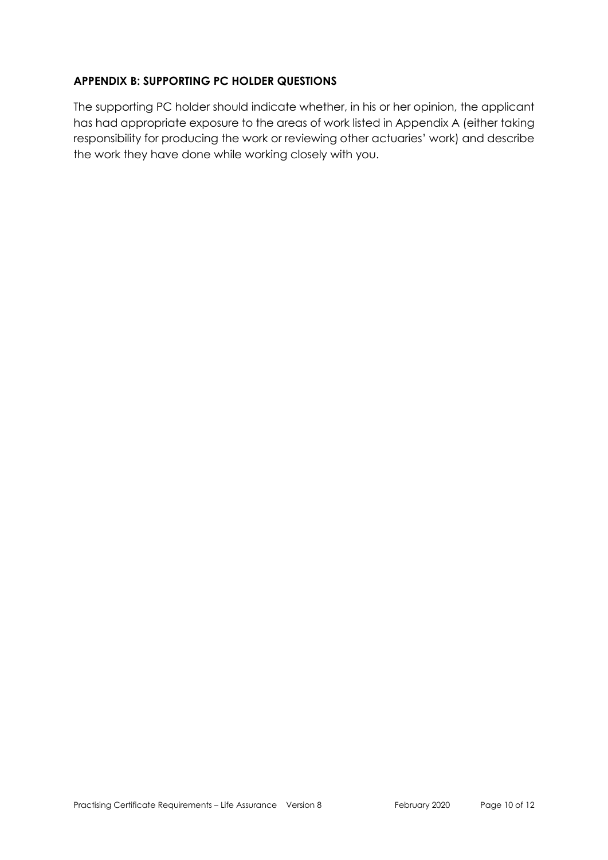#### **APPENDIX B: SUPPORTING PC HOLDER QUESTIONS**

The supporting PC holder should indicate whether, in his or her opinion, the applicant has had appropriate exposure to the areas of work listed in Appendix A (either taking responsibility for producing the work or reviewing other actuaries' work) and describe the work they have done while working closely with you.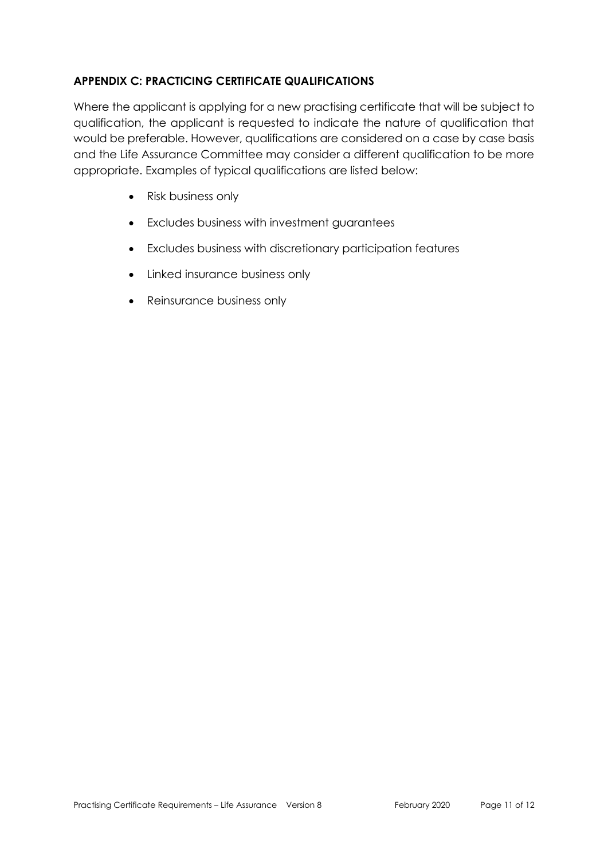## **APPENDIX C: PRACTICING CERTIFICATE QUALIFICATIONS**

Where the applicant is applying for a new practising certificate that will be subject to qualification, the applicant is requested to indicate the nature of qualification that would be preferable. However, qualifications are considered on a case by case basis and the Life Assurance Committee may consider a different qualification to be more appropriate. Examples of typical qualifications are listed below:

- Risk business only
- Excludes business with investment guarantees
- Excludes business with discretionary participation features
- Linked insurance business only
- Reinsurance business only